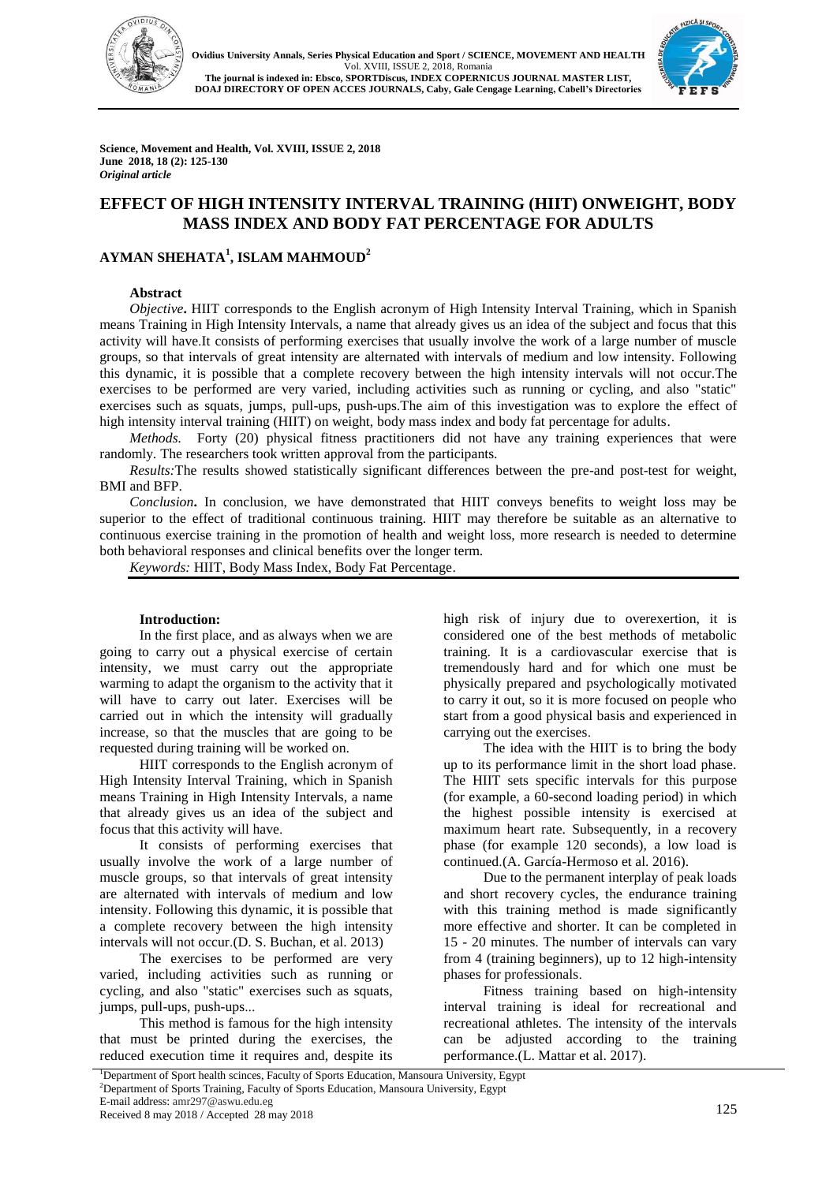



**Science, Movement and Health, Vol. XVIII, ISSUE 2, 2018 June 2018, 18 (2): 125-130** *Original article* 

# **EFFECT OF HIGH INTENSITY INTERVAL TRAINING (HIIT) ONWEIGHT, BODY MASS INDEX AND BODY FAT PERCENTAGE FOR ADULTS**

## **AYMAN SHEHATA<sup>1</sup> , ISLAM MAHMOUD<sup>2</sup>**

#### **Abstract**

*Objective***.** HIIT corresponds to the English acronym of High Intensity Interval Training, which in Spanish means Training in High Intensity Intervals, a name that already gives us an idea of the subject and focus that this activity will have.It consists of performing exercises that usually involve the work of a large number of muscle groups, so that intervals of great intensity are alternated with intervals of medium and low intensity. Following this dynamic, it is possible that a complete recovery between the high intensity intervals will not occur.The exercises to be performed are very varied, including activities such as running or cycling, and also "static" exercises such as squats, jumps, pull-ups, push-ups.The aim of this investigation was to explore the effect of high intensity interval training (HIIT) on weight, body mass index and body fat percentage for adults.

*Methods.* Forty (20) physical fitness practitioners did not have any training experiences that were randomly. The researchers took written approval from the participants.

*Results:*The results showed statistically significant differences between the pre-and post-test for weight, BMI and BFP.

*Conclusion***.** In conclusion, we have demonstrated that HIIT conveys benefits to weight loss may be superior to the effect of traditional continuous training. HIIT may therefore be suitable as an alternative to continuous exercise training in the promotion of health and weight loss, more research is needed to determine both behavioral responses and clinical benefits over the longer term.

*Keywords:* HIIT, Body Mass Index, Body Fat Percentage.

#### **Introduction:**

In the first place, and as always when we are going to carry out a physical exercise of certain intensity, we must carry out the appropriate warming to adapt the organism to the activity that it will have to carry out later. Exercises will be carried out in which the intensity will gradually increase, so that the muscles that are going to be requested during training will be worked on.

HIIT corresponds to the English acronym of High Intensity Interval Training, which in Spanish means Training in High Intensity Intervals, a name that already gives us an idea of the subject and focus that this activity will have.

It consists of performing exercises that usually involve the work of a large number of muscle groups, so that intervals of great intensity are alternated with intervals of medium and low intensity. Following this dynamic, it is possible that a complete recovery between the high intensity intervals will not occur.(D. S. Buchan, et al. 2013)

The exercises to be performed are very varied, including activities such as running or cycling, and also "static" exercises such as squats, jumps, pull-ups, push-ups...

This method is famous for the high intensity that must be printed during the exercises, the reduced execution time it requires and, despite its high risk of injury due to overexertion, it is considered one of the best methods of metabolic training. It is a cardiovascular exercise that is tremendously hard and for which one must be physically prepared and psychologically motivated to carry it out, so it is more focused on people who start from a good physical basis and experienced in carrying out the exercises.

The idea with the HIIT is to bring the body up to its performance limit in the short load phase. The HIIT sets specific intervals for this purpose (for example, a 60-second loading period) in which the highest possible intensity is exercised at maximum heart rate. Subsequently, in a recovery phase (for example 120 seconds), a low load is continued.(A. García-Hermoso et al. 2016).

Due to the permanent interplay of peak loads and short recovery cycles, the endurance training with this training method is made significantly more effective and shorter. It can be completed in 15 - 20 minutes. The number of intervals can vary from 4 (training beginners), up to 12 high-intensity phases for professionals.

Fitness training based on high-intensity interval training is ideal for recreational and recreational athletes. The intensity of the intervals can be adjusted according to the training performance.(L. Mattar et al. 2017).

<sup>1</sup>Department of Sport health scinces, Faculty of Sports Education, Mansoura University, Egypt <sup>2</sup>Department of Sports Training, Faculty of Sports Education, Mansoura University, Egypt E-mail address: amr297@aswu.edu.eg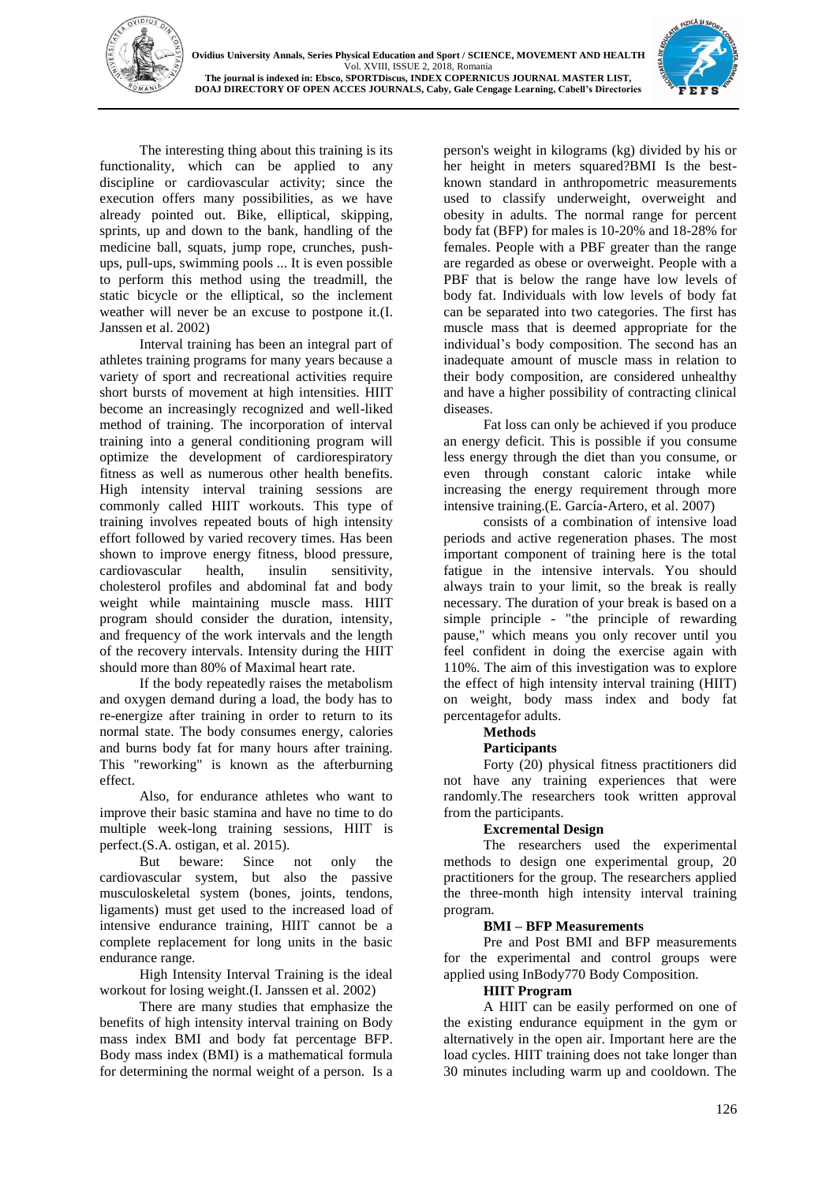



The interesting thing about this training is its functionality, which can be applied to any discipline or cardiovascular activity; since the execution offers many possibilities, as we have already pointed out. Bike, elliptical, skipping, sprints, up and down to the bank, handling of the medicine ball, squats, jump rope, crunches, pushups, pull-ups, swimming pools ... It is even possible to perform this method using the treadmill, the static bicycle or the elliptical, so the inclement weather will never be an excuse to postpone it.(I. Janssen et al. 2002)

Interval training has been an integral part of athletes training programs for many years because a variety of sport and recreational activities require short bursts of movement at high intensities. HIIT become an increasingly recognized and well-liked method of training. The incorporation of interval training into a general conditioning program will optimize the development of cardiorespiratory fitness as well as numerous other health benefits. High intensity interval training sessions are commonly called HIIT workouts. This type of training involves repeated bouts of high intensity effort followed by varied recovery times. Has been shown to improve energy fitness, blood pressure, cardiovascular health, insulin sensitivity, cholesterol profiles and abdominal fat and body weight while maintaining muscle mass. HIIT program should consider the duration, intensity, and frequency of the work intervals and the length of the recovery intervals. Intensity during the HIIT should more than 80% of Maximal heart rate.

If the body repeatedly raises the metabolism and oxygen demand during a load, the body has to re-energize after training in order to return to its normal state. The body consumes energy, calories and burns body fat for many hours after training. This "reworking" is known as the afterburning effect.

Also, for endurance athletes who want to improve their basic stamina and have no time to do multiple week-long training sessions, HIIT is perfect.(S.A. ostigan, et al. 2015).

But beware: Since not only the cardiovascular system, but also the passive musculoskeletal system (bones, joints, tendons, ligaments) must get used to the increased load of intensive endurance training, HIIT cannot be a complete replacement for long units in the basic endurance range.

High Intensity Interval Training is the ideal workout for losing weight.(I. Janssen et al. 2002)

There are many studies that emphasize the benefits of high intensity interval training on Body mass index BMI and body fat percentage BFP. Body mass index (BMI) is a mathematical formula for determining the normal weight of a person. Is a person's weight in kilograms (kg) divided by his or her height in meters squared?BMI Is the bestknown standard in anthropometric measurements used to classify underweight, overweight and obesity in adults. The normal range for percent body fat (BFP) for males is 10-20% and 18-28% for females. People with a PBF greater than the range are regarded as obese or overweight. People with a PBF that is below the range have low levels of body fat. Individuals with low levels of body fat can be separated into two categories. The first has muscle mass that is deemed appropriate for the individual's body composition. The second has an inadequate amount of muscle mass in relation to their body composition, are considered unhealthy and have a higher possibility of contracting clinical diseases.

Fat loss can only be achieved if you produce an energy deficit. This is possible if you consume less energy through the diet than you consume, or even through constant caloric intake while increasing the energy requirement through more intensive training.(E. García-Artero, et al. 2007)

consists of a combination of intensive load periods and active regeneration phases. The most important component of training here is the total fatigue in the intensive intervals. You should always train to your limit, so the break is really necessary. The duration of your break is based on a simple principle - "the principle of rewarding pause," which means you only recover until you feel confident in doing the exercise again with 110%. The aim of this investigation was to explore the effect of high intensity interval training (HIIT) on weight, body mass index and body fat percentagefor adults.

# **Methods**

### **Participants**

Forty (20) physical fitness practitioners did not have any training experiences that were randomly.The researchers took written approval from the participants.

## **Excremental Design**

The researchers used the experimental methods to design one experimental group, 20 practitioners for the group. The researchers applied the three-month high intensity interval training program.

### **BMI – BFP Measurements**

Pre and Post BMI and BFP measurements for the experimental and control groups were applied using InBody770 Body Composition.

### **HIIT Program**

A HIIT can be easily performed on one of the existing endurance equipment in the gym or alternatively in the open air. Important here are the load cycles. HIIT training does not take longer than 30 minutes including warm up and cooldown. The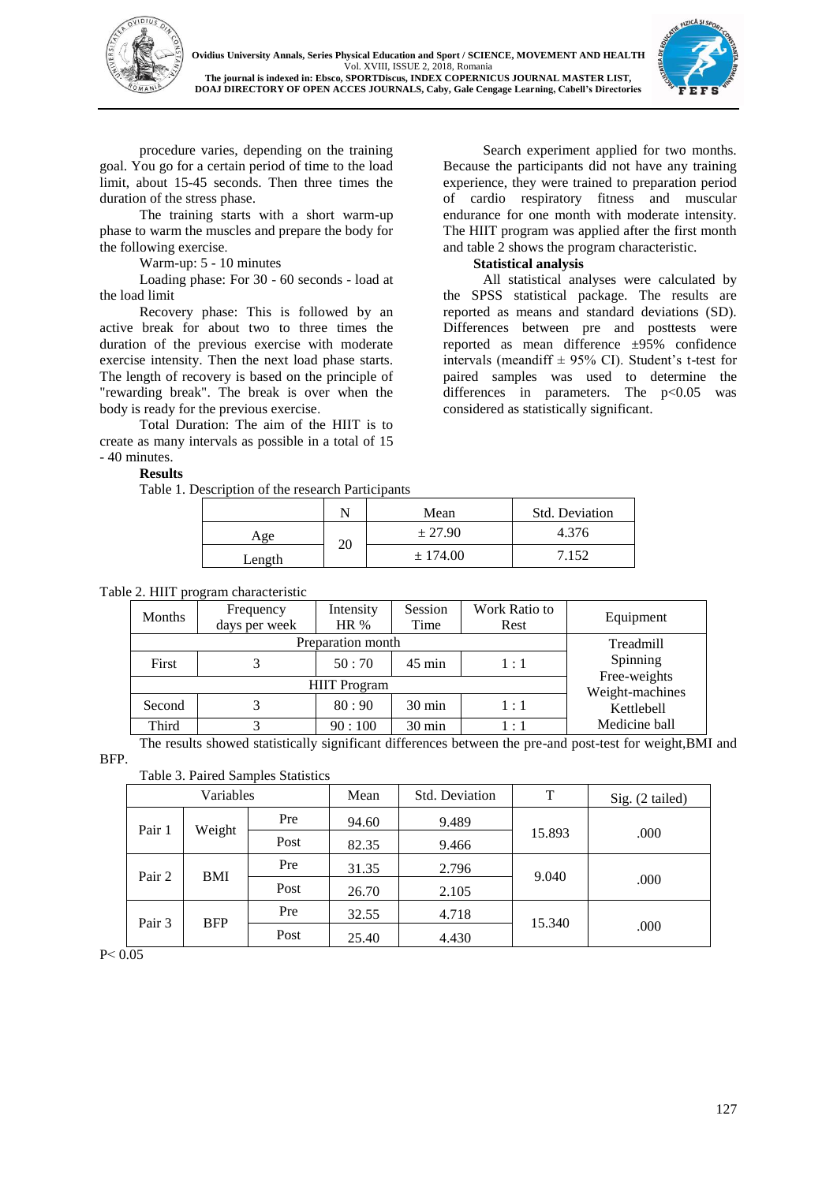



procedure varies, depending on the training goal. You go for a certain period of time to the load limit, about 15-45 seconds. Then three times the duration of the stress phase.

The training starts with a short warm-up phase to warm the muscles and prepare the body for the following exercise.

Warm-up: 5 - 10 minutes

Loading phase: For 30 - 60 seconds - load at the load limit

Recovery phase: This is followed by an active break for about two to three times the duration of the previous exercise with moderate exercise intensity. Then the next load phase starts. The length of recovery is based on the principle of "rewarding break". The break is over when the body is ready for the previous exercise.

Total Duration: The aim of the HIIT is to create as many intervals as possible in a total of 15 - 40 minutes.

**Results** 

Table 1. Description of the research Participants

 $\begin{array}{c|c}\n\text{Age} & 20\n\end{array}$ 

Search experiment applied for two months. Because the participants did not have any training experience, they were trained to preparation period of cardio respiratory fitness and muscular endurance for one month with moderate intensity. The HIIT program was applied after the first month and table 2 shows the program characteristic.

## **Statistical analysis**

All statistical analyses were calculated by the SPSS statistical package. The results are reported as means and standard deviations (SD). Differences between pre and posttests were reported as mean difference  $\pm 95\%$  confidence intervals (meandiff  $\pm$  95% CI). Student's t-test for paired samples was used to determine the differences in parameters. The  $p<0.05$  was considered as statistically significant.

|  | Table 2. HIIT program characteristic |  |
|--|--------------------------------------|--|

| $\sim$ 2. This program emailed construct |                                 |           |                  |               |               |  |  |
|------------------------------------------|---------------------------------|-----------|------------------|---------------|---------------|--|--|
| Months                                   | Frequency                       | Intensity | Session          | Work Ratio to | Equipment     |  |  |
|                                          | days per week                   | HR $%$    | Time             | Rest          |               |  |  |
|                                          | Treadmill                       |           |                  |               |               |  |  |
| First                                    |                                 | 50:70     | $45 \text{ min}$ | 1:1           | Spinning      |  |  |
|                                          | Free-weights<br>Weight-machines |           |                  |               |               |  |  |
| Second                                   |                                 | 80:90     | $30 \text{ min}$ | 1:1           | Kettlebell    |  |  |
| Third                                    | 2                               | 90:100    | 30 min           | 1:1           | Medicine ball |  |  |

Length  $\pm 174.00$  7.152

N Mean Std. Deviation

 $\pm 27.90$  4.376

The results showed statistically significant differences between the pre-and post-test for weight,BMI and

BFP.

Table 3. Paired Samples Statistics

| Variables            |      | Mean  | <b>Std. Deviation</b> | T      | Sig. (2 tailed) |      |
|----------------------|------|-------|-----------------------|--------|-----------------|------|
| Pair 1<br>Weight     |      | Pre   | 94.60                 | 9.489  |                 |      |
|                      | Post | 82.35 | 9.466                 | 15.893 | .000            |      |
| Pair 2<br>BMI        |      | Pre   | 31.35                 | 2.796  | 9.040           | .000 |
|                      |      | Post  | 26.70                 | 2.105  |                 |      |
| Pair 3<br><b>BFP</b> |      | Pre   | 32.55                 | 4.718  | 15.340          | .000 |
|                      |      | Post  | 25.40                 | 4.430  |                 |      |

 $P < 0.05$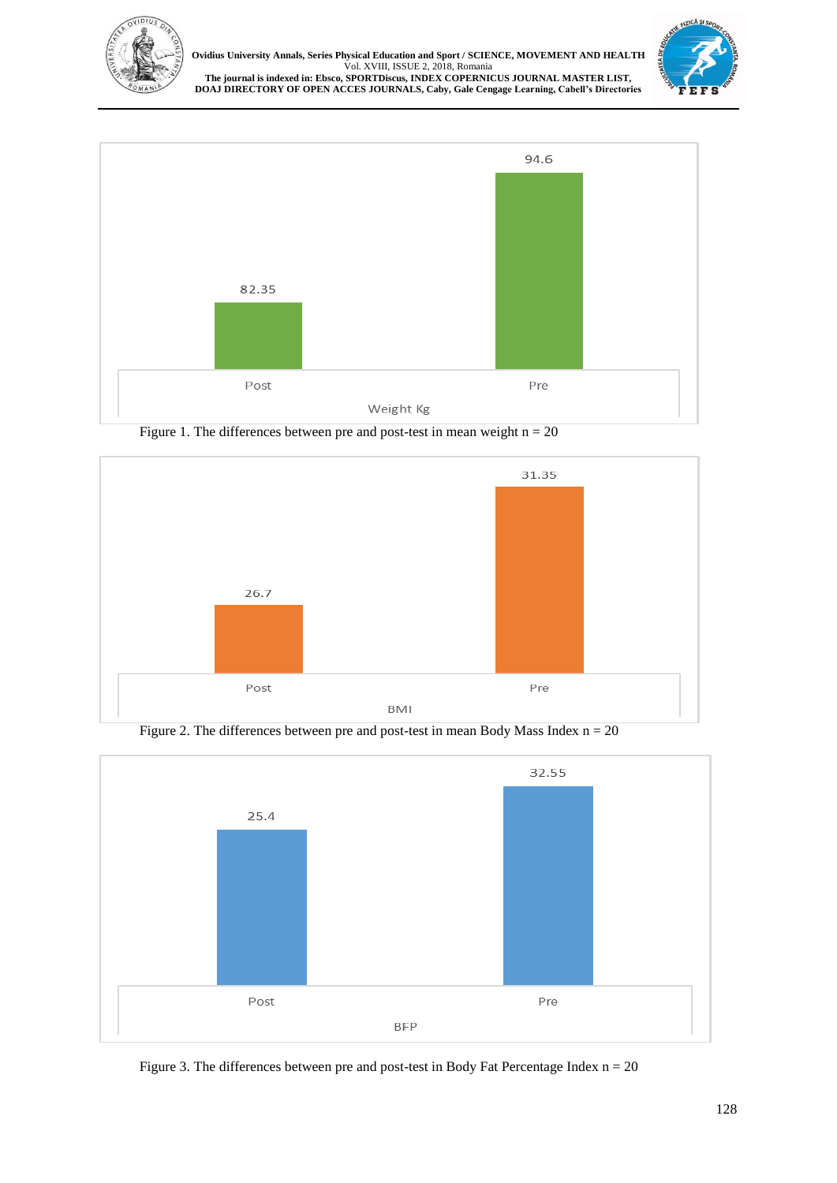

**Ovidius University Annals, Series Physical Education and Sport / SCIENCE, MOVEMENT AND HEALTH** Vol. XVIII, ISSUE 2, 2018, Romania **The journal is indexed in: Ebsco, SPORTDiscus, INDEX COPERNICUS JOURNAL MASTER LIST, DOAJ DIRECTORY OF OPEN ACCES JOURNALS, Caby, Gale Cengage Learning, Cabell's Directories**





Figure 1. The differences between pre and post-test in mean weight  $n = 20$ 



Figure 2. The differences between pre and post-test in mean Body Mass Index  $n = 20$ 



Figure 3. The differences between pre and post-test in Body Fat Percentage Index  $n = 20$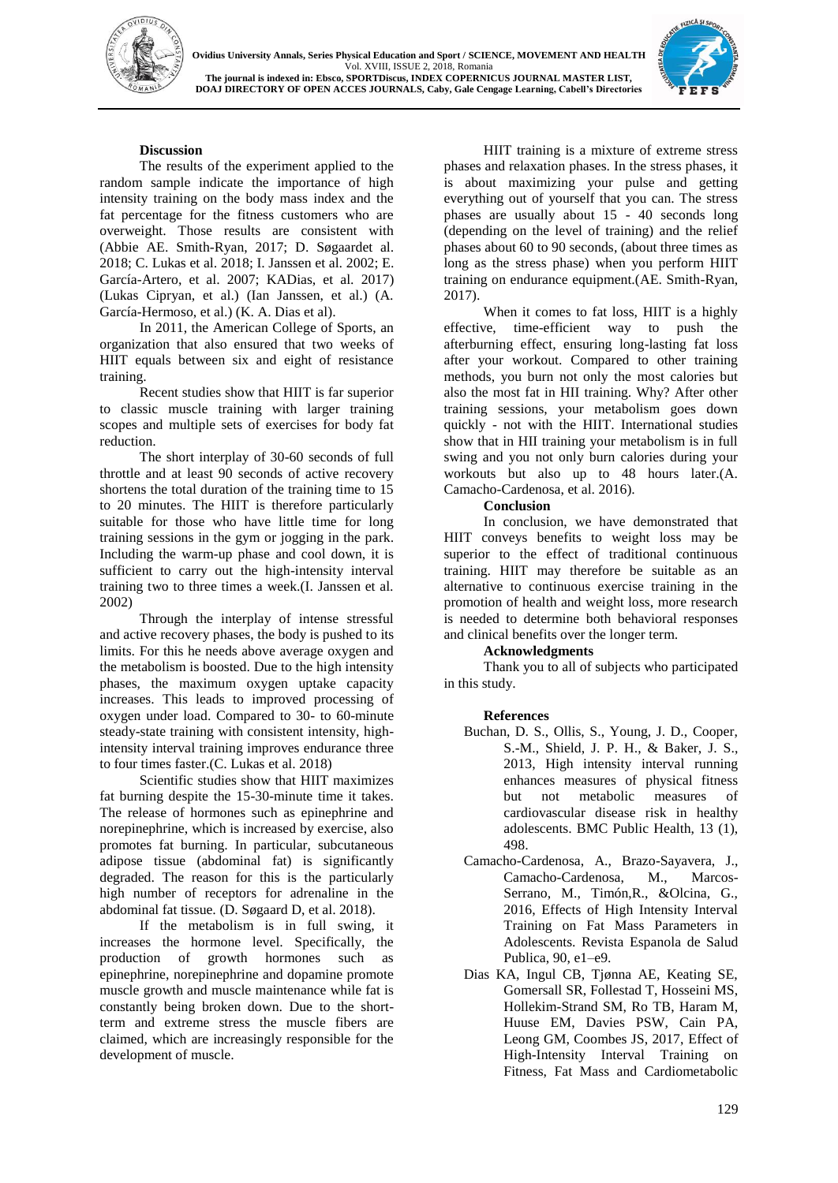



## **Discussion**

The results of the experiment applied to the random sample indicate the importance of high intensity training on the body mass index and the fat percentage for the fitness customers who are overweight. Those results are consistent with (Abbie AE. Smith-Ryan, 2017; D. Søgaardet al. 2018; C. Lukas et al. 2018; I. Janssen et al. 2002; E. García-Artero, et al. 2007; KADias, et al. 2017) (Lukas Cipryan, et al.) (Ian Janssen, et al.) (A. García-Hermoso, et al.) (K. A. Dias et al).

In 2011, the American College of Sports, an organization that also ensured that two weeks of HIIT equals between six and eight of resistance training.

Recent studies show that HIIT is far superior to classic muscle training with larger training scopes and multiple sets of exercises for body fat reduction.

The short interplay of 30-60 seconds of full throttle and at least 90 seconds of active recovery shortens the total duration of the training time to 15 to 20 minutes. The HIIT is therefore particularly suitable for those who have little time for long training sessions in the gym or jogging in the park. Including the warm-up phase and cool down, it is sufficient to carry out the high-intensity interval training two to three times a week.(I. Janssen et al. 2002)

Through the interplay of intense stressful and active recovery phases, the body is pushed to its limits. For this he needs above average oxygen and the metabolism is boosted. Due to the high intensity phases, the maximum oxygen uptake capacity increases. This leads to improved processing of oxygen under load. Compared to 30- to 60-minute steady-state training with consistent intensity, highintensity interval training improves endurance three to four times faster.(C. Lukas et al. 2018)

Scientific studies show that HIIT maximizes fat burning despite the 15-30-minute time it takes. The release of hormones such as epinephrine and norepinephrine, which is increased by exercise, also promotes fat burning. In particular, subcutaneous adipose tissue (abdominal fat) is significantly degraded. The reason for this is the particularly high number of receptors for adrenaline in the abdominal fat tissue. (D. Søgaard D, et al. 2018).

If the metabolism is in full swing, it increases the hormone level. Specifically, the production of growth hormones such as epinephrine, norepinephrine and dopamine promote muscle growth and muscle maintenance while fat is constantly being broken down. Due to the shortterm and extreme stress the muscle fibers are claimed, which are increasingly responsible for the development of muscle.

HIIT training is a mixture of extreme stress phases and relaxation phases. In the stress phases, it is about maximizing your pulse and getting everything out of yourself that you can. The stress phases are usually about 15 - 40 seconds long (depending on the level of training) and the relief phases about 60 to 90 seconds, (about three times as long as the stress phase) when you perform HIIT training on endurance equipment.(AE. Smith-Ryan, 2017).

When it comes to fat loss, HIIT is a highly effective, time-efficient way to push the afterburning effect, ensuring long-lasting fat loss after your workout. Compared to other training methods, you burn not only the most calories but also the most fat in HII training. Why? After other training sessions, your metabolism goes down quickly - not with the HIIT. International studies show that in HII training your metabolism is in full swing and you not only burn calories during your workouts but also up to 48 hours later.(A. Camacho-Cardenosa, et al. 2016).

### **Conclusion**

In conclusion, we have demonstrated that HIIT conveys benefits to weight loss may be superior to the effect of traditional continuous training. HIIT may therefore be suitable as an alternative to continuous exercise training in the promotion of health and weight loss, more research is needed to determine both behavioral responses and clinical benefits over the longer term.

### **Acknowledgments**

Thank you to all of subjects who participated in this study.

### **References**

- Buchan, D. S., Ollis, S., Young, J. D., Cooper, S.-M., Shield, J. P. H., & Baker, J. S., 2013, High intensity interval running enhances measures of physical fitness but not metabolic measures of cardiovascular disease risk in healthy adolescents. BMC Public Health, 13 (1), 498.
- Camacho-Cardenosa, A., Brazo-Sayavera, J., Camacho-Cardenosa, M., Marcos-Serrano, M., Timón,R., &Olcina, G., 2016, Effects of High Intensity Interval Training on Fat Mass Parameters in Adolescents. Revista Espanola de Salud Publica, 90, e1–e9.
- Dias KA, Ingul CB, Tjønna AE, Keating SE, Gomersall SR, Follestad T, Hosseini MS, Hollekim-Strand SM, Ro TB, Haram M, Huuse EM, Davies PSW, Cain PA, Leong GM, Coombes JS, 2017, Effect of High-Intensity Interval Training on Fitness, Fat Mass and Cardiometabolic